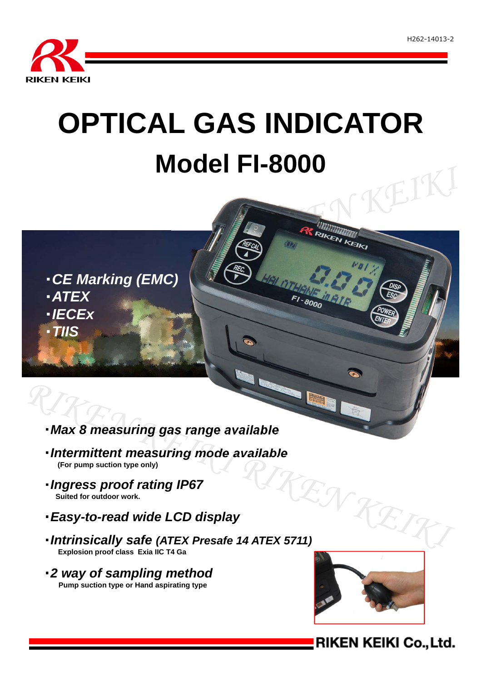

# **OPTICAL GAS INDICATOR Model FI-8000** EIKI

・*CE Marking (EMC)* ・*ATEX* ・*IECEx* ・*TIIS*

# ・*Max 8 measuring gas range available*

- ・*Intermittent measuring mode available* **(For pump suction type only)**
- ・*Ingress proof rating IP67* **Suited for outdoor work.**
- ・*Easy-to-read wide LCD display*
- **The Summary School of Traing 15 v.1.**<br>
Suited for outdoor work.<br> **Easy-to-read wide LCD display**<br> **Intrinsically safe (ATEX Presafe 14 ATEX 5711) Explosion proof class Exia IIC T4 Ga**
- ・*2 way of sampling method* **Pump suction type or Hand aspirating type**



RIKEN KEIKI

 $F1 - 8000$ 

# **RIKEN KEIKI Co., Ltd.**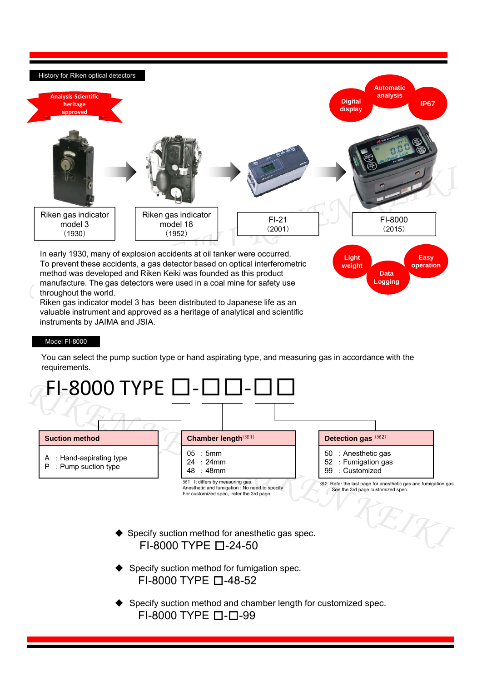

Riken gas indicator model 3 has been distributed to Japanese life as an valuable instrument and approved as a heritage of analytical and scientific instruments by JAIMA and JSIA.

### Model FI-8000

You can select the pump suction type or hand aspirating type, and measuring gas in accordance with the requirements.

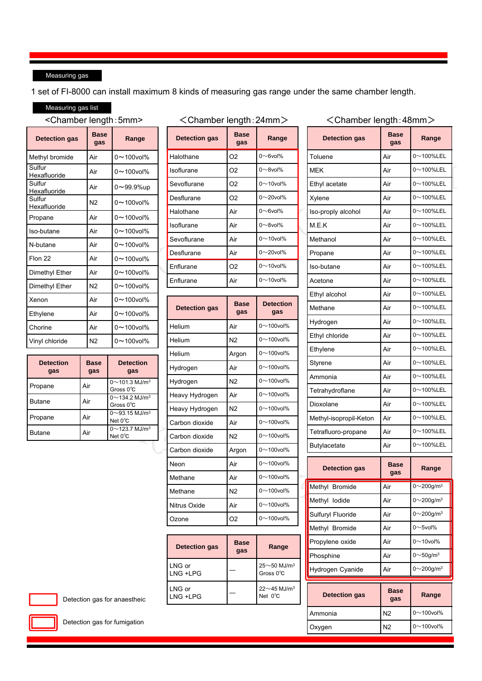## Measuring gas

1 set of FI-8000 can install maximum 8 kinds of measuring gas range under the same chamber length.

# Measuring gas list

## <Chamber length:5mm>

| <b>Detection gas</b>   | <b>Base</b><br>gas | Range                |
|------------------------|--------------------|----------------------|
| Methyl bromide         | Air                | $0 \sim$ 100 $vol\%$ |
| Sulfur<br>Hexafluoride | Air                | $0 - 100$ vol%       |
| Sulfur<br>Hexafluoride | Air                | 0∼99.9%up            |
| Sulfur<br>Hexafluoride | N <sub>2</sub>     | $0 \sim$ 100 $vol\%$ |
| Propane                | Air                | $0 - 100$ vol%       |
| Iso-butane             | Air                | $0 - 100$ vol%       |
| N-butane               | Air                | $0 - 100$ vol%       |
| Flon 22                | Air                | $0 - 100$ vol%       |
| Dimethyl Ether         | Air                | $0 \sim$ 100 $vol\%$ |
| Dimethyl Ether         | N2                 | $0 - 100$ vol%       |
| Xenon                  | Air                | $0 - 100$ vol%       |
| Ethylene               | Air                | $0 - 100$ vol%       |
| Chorine                | Air                | $0 - 100$ vol%       |
| Vinyl chloride         | N <sub>2</sub>     | $0 - 100$ vol%       |

| <b>Detection</b><br>gas | <b>Base</b><br>gas | <b>Detection</b><br>gas                                 |
|-------------------------|--------------------|---------------------------------------------------------|
| Propane                 | Air                | $0 \sim 101.3$ MJ/m <sup>3</sup><br>Gross $0^{\circ}$ C |
| <b>Butane</b>           | Air                | 0 $\sim$ 134.2 MJ/m <sup>3</sup><br>Gross $0^{\circ}$ C |
| Propane                 | Air                | 0 $\sim$ 93.15 MJ/m <sup>3</sup><br>Net 0°C             |
| <b>Butane</b>           | Air                | $0 \sim$ 123.7 MJ/m <sup>3</sup><br>Net 0°C             |

| ∠ יווסווועסו וסווענוו. ב <del>יו</del> וווווור |                    |                    |  |  |
|------------------------------------------------|--------------------|--------------------|--|--|
| <b>Detection gas</b>                           | <b>Base</b><br>gas | Range              |  |  |
| Halothane                                      | O <sub>2</sub>     | $0 \sim 6$ vol $%$ |  |  |
| Isoflurane                                     | O <sub>2</sub>     | $0 \sim 8$ vol $%$ |  |  |
| Sevoflurane                                    | O <sub>2</sub>     | $0 \sim 10$ vol%   |  |  |
| Desflurane                                     | O <sub>2</sub>     | $0 \sim$ 20vol%    |  |  |
| Halothane                                      | Air                | $0 \sim 6$ vol $%$ |  |  |
| Isoflurane                                     | Air                | $0 \sim 8$ vol $%$ |  |  |
| Sevoflurane                                    | Air                | $0 \sim 10$ vol%   |  |  |
| Desflurane                                     | Air                | $0 \sim$ 20vol%    |  |  |
| Enflurane                                      | O <sub>2</sub>     | $0 \sim 10$ vol%   |  |  |
| Enflurane                                      | Air                | $0 \sim 10$ vol%   |  |  |

| <b>Detection gas</b> | <b>Base</b><br>gas | <b>Detection</b><br>gas |
|----------------------|--------------------|-------------------------|
| Helium               | Air                | $0 \sim 100$ vol%       |
| Helium               | N2                 | $0 \sim 100$ vol%       |
| Helium               | Argon              | $0 \sim 100$ vol%       |
| Hydrogen             | Air                | $0 \sim 100$ vol%       |
| Hydrogen             | N <sub>2</sub>     | $0 \sim 100$ vol%       |
| Heavy Hydrogen       | Air                | $0 \sim 100$ vol%       |
| Heavy Hydrogen       | N <sub>2</sub>     | $0 \sim 100$ vol%       |
| Carbon dioxide       | Air                | $0 \sim 100$ vol%       |
| Carbon dioxide       | N <sub>2</sub>     | $0 \sim 100$ vol%       |
| Carbon dioxide       | Argon              | $0 \sim 100$ vol%       |
| Neon                 | Air                | $0 \sim 100$ vol%       |
| Methane              | Air                | $0 \sim 100$ vol%       |
| Methane              | N <sub>2</sub>     | $0 \sim 100$ vol%       |
| Nitrus Oxide         | Air                | $0 \sim 100$ vol%       |
| Ozone                | O <sub>2</sub>     | $0 \sim 100$ vol%       |

| <b>Detection gas</b> | <b>Base</b><br>qas | Range                                                 |
|----------------------|--------------------|-------------------------------------------------------|
| LNG or<br>LNG +LPG   |                    | $25 \sim 50$ MJ/m <sup>3</sup><br>Gross $0^{\circ}$ C |
| LNG or<br>LNG +LPG   |                    | $22 \sim 45$ MJ/m <sup>3</sup><br>Net $0^{\circ}$ C   |

## <Chamber length:24mm> <Chamber length:48mm>

| $0\nu$ 100%LEL<br>Toluene<br>Air<br>$0\nu$ 100%LEL<br><b>MEK</b><br>Air<br>$0\nu$ 100%LEL<br>Ethyl acetate<br>Air<br>$0\nu$ 100%LEL<br>Air<br>Xylene<br>$0\nu$ 100%LEL<br>Iso-proply alcohol<br>Air<br>$0\nu$ 100%LEL<br>M.E.K<br>Air<br>$0\nu$ 100%LEL<br>Methanol<br>Air<br>$0\nu$ 100%LEL<br>Propane<br>Air<br>$0\nu$ 100%LEL<br>Air<br>Iso-butane<br>0 $\sim$ 100%LEL<br>Air<br>$0\nu$ 100%LEL<br>Ethyl alcohol<br>Air<br>$0\nu$ 100%LEL<br>Air<br>Methane<br>$0$ ~100%LEL<br>Air<br>Hydrogen<br>$0$ ~100%LEL<br>Ethyl chloride<br>Air<br>0 $\sim$ 100%LEL<br>Air<br>Ethylene<br>$0\nu$ 100%LEL<br>Air<br>Styrene<br>$0\nu$ 100%LEL<br>Ammonia<br>Air<br>0 $\sim$ 100%LEL<br>Air<br>Tetrahydroflane<br>$0\nu$ 100%LEL<br>Air<br>Dioxolane<br>$0\nu$ 100%LEL<br>Methyl-isopropil-Keton<br>Air<br>$0\nu$ 100%LEL<br>Tetrafluoro-propane<br>Air<br>$0\nu$ 100%LEL<br>Butylacetate<br>Air<br><b>Base</b><br><b>Detection gas</b><br>Range<br>gas<br>$0 - 200$ g/m <sup>3</sup><br>Air<br>$0 \sim 200$ g/m $3$<br>Methyl lodide<br>Air<br>Sulfuryl Fluoride<br>$0\sim$ 200g/m <sup>3</sup><br>Air<br>$0 \sim 5$ vol%<br>Methyl Bromide<br>Air<br>$0 \sim 10$ vol%<br>Propylene oxide<br>Air<br>$0 \sim 50$ g/m <sup>3</sup><br>Phosphine<br>Air<br>$0 \sim 200$ g/m $3$<br>Air<br>Hydrogen Cyanide<br>Base<br><b>Detection gas</b><br>Range<br>gas<br>$0 \sim$ 100vol%<br>N2<br>Ammonia<br>$0 \sim$ 100vol%<br>N2<br>Oxygen | <b>Detection gas</b> | Base<br>gas | Range |  |  |
|----------------------------------------------------------------------------------------------------------------------------------------------------------------------------------------------------------------------------------------------------------------------------------------------------------------------------------------------------------------------------------------------------------------------------------------------------------------------------------------------------------------------------------------------------------------------------------------------------------------------------------------------------------------------------------------------------------------------------------------------------------------------------------------------------------------------------------------------------------------------------------------------------------------------------------------------------------------------------------------------------------------------------------------------------------------------------------------------------------------------------------------------------------------------------------------------------------------------------------------------------------------------------------------------------------------------------------------------------------------------------------------------------------------------------|----------------------|-------------|-------|--|--|
|                                                                                                                                                                                                                                                                                                                                                                                                                                                                                                                                                                                                                                                                                                                                                                                                                                                                                                                                                                                                                                                                                                                                                                                                                                                                                                                                                                                                                            |                      |             |       |  |  |
|                                                                                                                                                                                                                                                                                                                                                                                                                                                                                                                                                                                                                                                                                                                                                                                                                                                                                                                                                                                                                                                                                                                                                                                                                                                                                                                                                                                                                            |                      |             |       |  |  |
|                                                                                                                                                                                                                                                                                                                                                                                                                                                                                                                                                                                                                                                                                                                                                                                                                                                                                                                                                                                                                                                                                                                                                                                                                                                                                                                                                                                                                            |                      |             |       |  |  |
|                                                                                                                                                                                                                                                                                                                                                                                                                                                                                                                                                                                                                                                                                                                                                                                                                                                                                                                                                                                                                                                                                                                                                                                                                                                                                                                                                                                                                            |                      |             |       |  |  |
|                                                                                                                                                                                                                                                                                                                                                                                                                                                                                                                                                                                                                                                                                                                                                                                                                                                                                                                                                                                                                                                                                                                                                                                                                                                                                                                                                                                                                            |                      |             |       |  |  |
|                                                                                                                                                                                                                                                                                                                                                                                                                                                                                                                                                                                                                                                                                                                                                                                                                                                                                                                                                                                                                                                                                                                                                                                                                                                                                                                                                                                                                            |                      |             |       |  |  |
|                                                                                                                                                                                                                                                                                                                                                                                                                                                                                                                                                                                                                                                                                                                                                                                                                                                                                                                                                                                                                                                                                                                                                                                                                                                                                                                                                                                                                            |                      |             |       |  |  |
|                                                                                                                                                                                                                                                                                                                                                                                                                                                                                                                                                                                                                                                                                                                                                                                                                                                                                                                                                                                                                                                                                                                                                                                                                                                                                                                                                                                                                            |                      |             |       |  |  |
|                                                                                                                                                                                                                                                                                                                                                                                                                                                                                                                                                                                                                                                                                                                                                                                                                                                                                                                                                                                                                                                                                                                                                                                                                                                                                                                                                                                                                            |                      |             |       |  |  |
|                                                                                                                                                                                                                                                                                                                                                                                                                                                                                                                                                                                                                                                                                                                                                                                                                                                                                                                                                                                                                                                                                                                                                                                                                                                                                                                                                                                                                            | Acetone              |             |       |  |  |
|                                                                                                                                                                                                                                                                                                                                                                                                                                                                                                                                                                                                                                                                                                                                                                                                                                                                                                                                                                                                                                                                                                                                                                                                                                                                                                                                                                                                                            |                      |             |       |  |  |
|                                                                                                                                                                                                                                                                                                                                                                                                                                                                                                                                                                                                                                                                                                                                                                                                                                                                                                                                                                                                                                                                                                                                                                                                                                                                                                                                                                                                                            |                      |             |       |  |  |
|                                                                                                                                                                                                                                                                                                                                                                                                                                                                                                                                                                                                                                                                                                                                                                                                                                                                                                                                                                                                                                                                                                                                                                                                                                                                                                                                                                                                                            |                      |             |       |  |  |
|                                                                                                                                                                                                                                                                                                                                                                                                                                                                                                                                                                                                                                                                                                                                                                                                                                                                                                                                                                                                                                                                                                                                                                                                                                                                                                                                                                                                                            |                      |             |       |  |  |
|                                                                                                                                                                                                                                                                                                                                                                                                                                                                                                                                                                                                                                                                                                                                                                                                                                                                                                                                                                                                                                                                                                                                                                                                                                                                                                                                                                                                                            |                      |             |       |  |  |
|                                                                                                                                                                                                                                                                                                                                                                                                                                                                                                                                                                                                                                                                                                                                                                                                                                                                                                                                                                                                                                                                                                                                                                                                                                                                                                                                                                                                                            |                      |             |       |  |  |
|                                                                                                                                                                                                                                                                                                                                                                                                                                                                                                                                                                                                                                                                                                                                                                                                                                                                                                                                                                                                                                                                                                                                                                                                                                                                                                                                                                                                                            |                      |             |       |  |  |
|                                                                                                                                                                                                                                                                                                                                                                                                                                                                                                                                                                                                                                                                                                                                                                                                                                                                                                                                                                                                                                                                                                                                                                                                                                                                                                                                                                                                                            |                      |             |       |  |  |
|                                                                                                                                                                                                                                                                                                                                                                                                                                                                                                                                                                                                                                                                                                                                                                                                                                                                                                                                                                                                                                                                                                                                                                                                                                                                                                                                                                                                                            |                      |             |       |  |  |
|                                                                                                                                                                                                                                                                                                                                                                                                                                                                                                                                                                                                                                                                                                                                                                                                                                                                                                                                                                                                                                                                                                                                                                                                                                                                                                                                                                                                                            |                      |             |       |  |  |
|                                                                                                                                                                                                                                                                                                                                                                                                                                                                                                                                                                                                                                                                                                                                                                                                                                                                                                                                                                                                                                                                                                                                                                                                                                                                                                                                                                                                                            |                      |             |       |  |  |
|                                                                                                                                                                                                                                                                                                                                                                                                                                                                                                                                                                                                                                                                                                                                                                                                                                                                                                                                                                                                                                                                                                                                                                                                                                                                                                                                                                                                                            |                      |             |       |  |  |
|                                                                                                                                                                                                                                                                                                                                                                                                                                                                                                                                                                                                                                                                                                                                                                                                                                                                                                                                                                                                                                                                                                                                                                                                                                                                                                                                                                                                                            |                      |             |       |  |  |
|                                                                                                                                                                                                                                                                                                                                                                                                                                                                                                                                                                                                                                                                                                                                                                                                                                                                                                                                                                                                                                                                                                                                                                                                                                                                                                                                                                                                                            | Methyl Bromide       |             |       |  |  |
|                                                                                                                                                                                                                                                                                                                                                                                                                                                                                                                                                                                                                                                                                                                                                                                                                                                                                                                                                                                                                                                                                                                                                                                                                                                                                                                                                                                                                            |                      |             |       |  |  |
|                                                                                                                                                                                                                                                                                                                                                                                                                                                                                                                                                                                                                                                                                                                                                                                                                                                                                                                                                                                                                                                                                                                                                                                                                                                                                                                                                                                                                            |                      |             |       |  |  |
|                                                                                                                                                                                                                                                                                                                                                                                                                                                                                                                                                                                                                                                                                                                                                                                                                                                                                                                                                                                                                                                                                                                                                                                                                                                                                                                                                                                                                            |                      |             |       |  |  |
|                                                                                                                                                                                                                                                                                                                                                                                                                                                                                                                                                                                                                                                                                                                                                                                                                                                                                                                                                                                                                                                                                                                                                                                                                                                                                                                                                                                                                            |                      |             |       |  |  |
|                                                                                                                                                                                                                                                                                                                                                                                                                                                                                                                                                                                                                                                                                                                                                                                                                                                                                                                                                                                                                                                                                                                                                                                                                                                                                                                                                                                                                            |                      |             |       |  |  |
|                                                                                                                                                                                                                                                                                                                                                                                                                                                                                                                                                                                                                                                                                                                                                                                                                                                                                                                                                                                                                                                                                                                                                                                                                                                                                                                                                                                                                            |                      |             |       |  |  |
|                                                                                                                                                                                                                                                                                                                                                                                                                                                                                                                                                                                                                                                                                                                                                                                                                                                                                                                                                                                                                                                                                                                                                                                                                                                                                                                                                                                                                            |                      |             |       |  |  |
|                                                                                                                                                                                                                                                                                                                                                                                                                                                                                                                                                                                                                                                                                                                                                                                                                                                                                                                                                                                                                                                                                                                                                                                                                                                                                                                                                                                                                            |                      |             |       |  |  |
|                                                                                                                                                                                                                                                                                                                                                                                                                                                                                                                                                                                                                                                                                                                                                                                                                                                                                                                                                                                                                                                                                                                                                                                                                                                                                                                                                                                                                            |                      |             |       |  |  |

Detection gas for anaestheic



Detection gas for fumigation